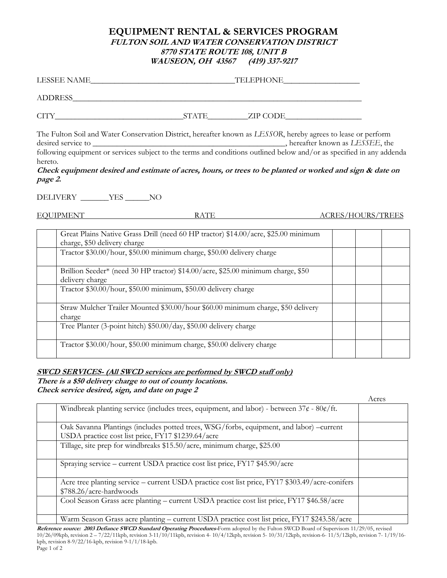## **EQUIPMENT RENTAL & SERVICES PROGRAM FULTON SOIL AND WATER CONSERVATION DISTRICT 8770 STATE ROUTE 108, UNIT B WAUSEON, OH 43567 (419) 337-9217**

| LESSEE NAME |              | TELEPHONE |
|-------------|--------------|-----------|
| ADDRESS     |              |           |
| CIT         | <b>STATE</b> | ZIP CODE  |

The Fulton Soil and Water Conservation District, hereafter known as *LESSOR*, hereby agrees to lease or perform desired service to \_\_\_\_\_\_\_\_\_\_\_\_\_\_\_\_\_\_\_\_\_\_\_\_\_\_\_\_\_\_\_\_\_\_\_\_\_\_\_\_\_\_\_\_\_\_\_\_, hereafter known as *LESSEE*, the following equipment or services subject to the terms and conditions outlined below and/or as specified in any addenda

hereto.

**Check equipment desired and estimate of acres, hours, or trees to be planted or worked and sign & date on page 2.**

DELIVERY \_\_\_\_\_\_\_YES \_\_\_\_\_\_NO

EQUIPMENT RATE ACRES/HOURS/TREES

| Great Plains Native Grass Drill (need 60 HP tractor) \$14.00/acre, \$25.00 minimum<br>charge, \$50 delivery charge |  |  |
|--------------------------------------------------------------------------------------------------------------------|--|--|
| Tractor \$30.00/hour, \$50.00 minimum charge, \$50.00 delivery charge                                              |  |  |
| Brillion Seeder* (need 30 HP tractor) \$14.00/acre, \$25.00 minimum charge, \$50<br>delivery charge                |  |  |
| Tractor \$30.00/hour, \$50.00 minimum, \$50.00 delivery charge                                                     |  |  |
| Straw Mulcher Trailer Mounted \$30.00/hour \$60.00 minimum charge, \$50 delivery<br>charge                         |  |  |
| Tree Planter (3-point hitch) \$50.00/day, \$50.00 delivery charge                                                  |  |  |
| Tractor \$30.00/hour, \$50.00 minimum charge, \$50.00 delivery charge                                              |  |  |

## **SWCD SERVICES- (All SWCD services are performed by SWCD staff only)**

**There is a \$50 delivery charge to out of county locations. Check service desired, sign, and date on page 2**

|                                                                                                                            | Acres |
|----------------------------------------------------------------------------------------------------------------------------|-------|
| Windbreak planting service (includes trees, equipment, and labor) - between $37¢ - 80¢$ ft.                                |       |
| Oak Savanna Plantings (includes potted trees, WSG/forbs, equipment, and labor) –current                                    |       |
| USDA practice cost list price, FY17 \$1239.64/acre                                                                         |       |
| Tillage, site prep for windbreaks \$15.50/acre, minimum charge, \$25.00                                                    |       |
| Spraying service – current USDA practice cost list price, FY17 \$45.90/acre                                                |       |
| Acre tree planting service - current USDA practice cost list price, FY17 \$303.49/acre-conifers<br>\$788.26/acre-hardwoods |       |
| Cool Season Grass acre planting – current USDA practice cost list price, FY17 \$46.58/acre                                 |       |
| Warm Season Grass acre planting – current USDA practice cost list price, FY17 \$243.58/acre                                |       |

**Reference source: 2003 Defiance SWCD Standard Operating Procedures-**Form adopted by the Fulton SWCD Board of Supervisors 11/29/05, revised 10/26/09kpb, revision 2 – 7/22/11kpb, revision 3-11/10/11kpb, revision 4- 10/4/12kpb, revision 5- 10/31/12kpb, revision-6- 11/5/12kpb, revision 7- 1/19/16 kpb, revision 8-9/22/16-kpb, revision 9-1/1/18-kpb. Page 1 of 2